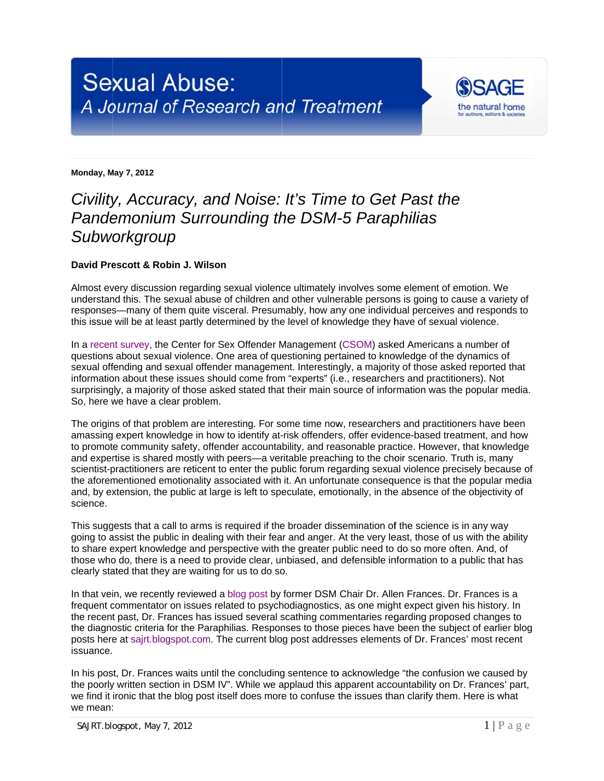

**Monday, M May 7, 2012** 

## *Civility, Accuracy, and Noise: It's Time to Get Past the* **Pandemonium Surrounding the DSM-5 Paraphilias** Subworkgroup

## **David Prescott & Robin J. Wilson**

Almost every discussion regarding sexual violence ultimately involves some element of emotion. We Almost every discussion regarding sexual violence ultimately involves some element of emotion. We<br>understand this. The sexual abuse of children and other vulnerable persons is going to cause a variety of responses—many of them quite visceral. Presumably, how any one individual perceives and responds to this issue will be at least partly determined by the level of knowledge they have of sexual violence.

In a rece[nt survey,](http://www.csom.org/pubs/CSOM-Exploring%20Public%20Awareness.pdf) the Center for Sex Offender Management [\(CSOM\)](http://www.csom.org/) asked Americans a number of questions about sexual violence. One area of questioning pertained to knowledge of the dynamics of In a recent survey, the Center for Sex Offender Management (CSOM) asked Americans a number of<br>questions about sexual violence. One area of questioning pertained to knowledge of the dynamics of<br>sexual offending and sexual o information about these issues should come from "experts" (i.e., researchers and practitioners). Not surprisingly, a majority of those asked stated that their main source of information was the popular media. So, here we have a clear problem.

The origins of that problem are interesting. For some time now, researchers and practitioners have been amassing expert knowledge in how to identify at-risk offenders, offer evidence-based treatment, and how to promote community safety, offender accountability, and reasonable practice. However, that knowledge and expertise is shared mostly with peers—a veritable preaching to the choir scenario. Truth is, many scientist-practitioners are reticent to enter the public forum regarding sexual violence precisely because of the aforementioned emotionality associated with it. An unfortunate consequence is that the popular media and, by extension, the public at large is left to speculate, emotionally, in the absence of the objectivity of science.

This suggests that a call to arms is required if the broader dissemination of the science is in any way This suggests that a call to arms is required if the broader dissemination of the science is in any way<br>going to assist the public in dealing with their fear and anger. At the very least, those of us with the ability to share expert knowledge and perspective with the greater public need to do so more often. And, of to share expert knowledge and perspective with the greater public need to do so more often. And, of<br>those who do, there is a need to provide clear, unbiased, and defensible information to a public that has clearly stated that they are waiting for us to do so.

In that vein, we recently reviewed a [blog post](http://www.psychologytoday.com/blog/dsm5-in-distress/201205/dsm-5-rejects-hebephilia-except-the-fine-print) by former DSM Chair Dr. Allen Frances. Dr. Frances is a frequent commentator on issues related to psychodiagnostics, as one might expect given his history. In the recent past, Dr. Frances has issued several scathing commentaries regarding proposed changes to the diagnostic criteria for the Paraphilias. Responses to those pieces have been the subject of earlier blog posts here at sajrt.blo[gspot.com.](http://sajrt.blogspot.com/) The current blog post addresses elements of Dr. Frances' most recent issuance.

In his post, Dr. Frances waits until the concluding sentence to acknowledge "the confusion we caused by the poorly written section in DSM IV". While we applaud this apparent accountability on Dr. Frances' part, we find it ironic that the blog post itself does more to confuse the issues than clarify them. Here is what we mean: